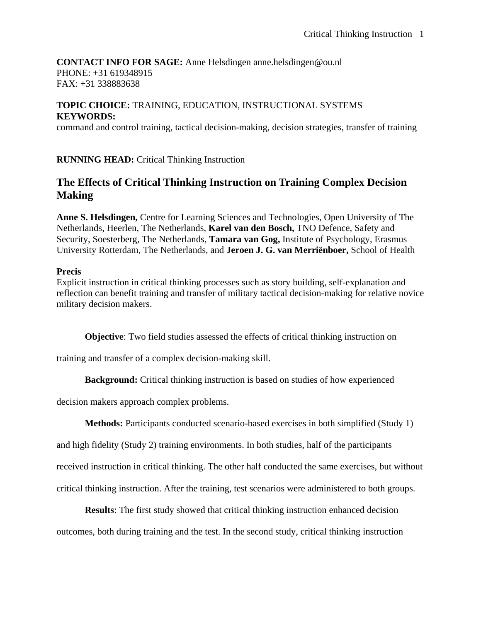# **CONTACT INFO FOR SAGE:** Anne Helsdingen anne.helsdingen@ou.nl PHONE: +31 619348915 FAX: +31 338883638

# **TOPIC CHOICE:** TRAINING, EDUCATION, INSTRUCTIONAL SYSTEMS **KEYWORDS:**

command and control training, tactical decision-making, decision strategies, transfer of training

**RUNNING HEAD:** Critical Thinking Instruction

# **The Effects of Critical Thinking Instruction on Training Complex Decision Making**

**Anne S. Helsdingen,** Centre for Learning Sciences and Technologies, Open University of The Netherlands, Heerlen, The Netherlands, **Karel van den Bosch,** TNO Defence, Safety and Security, Soesterberg, The Netherlands, **Tamara van Gog,** Institute of Psychology, Erasmus University Rotterdam, The Netherlands, and **Jeroen J. G. van Merriënboer,** School of Health

# **Precis**

Explicit instruction in critical thinking processes such as story building, self-explanation and reflection can benefit training and transfer of military tactical decision-making for relative novice military decision makers.

**Objective**: Two field studies assessed the effects of critical thinking instruction on

training and transfer of a complex decision-making skill.

**Background:** Critical thinking instruction is based on studies of how experienced

decision makers approach complex problems.

**Methods:** Participants conducted scenario-based exercises in both simplified (Study 1)

and high fidelity (Study 2) training environments. In both studies, half of the participants

received instruction in critical thinking. The other half conducted the same exercises, but without

critical thinking instruction. After the training, test scenarios were administered to both groups.

**Results**: The first study showed that critical thinking instruction enhanced decision

outcomes, both during training and the test. In the second study, critical thinking instruction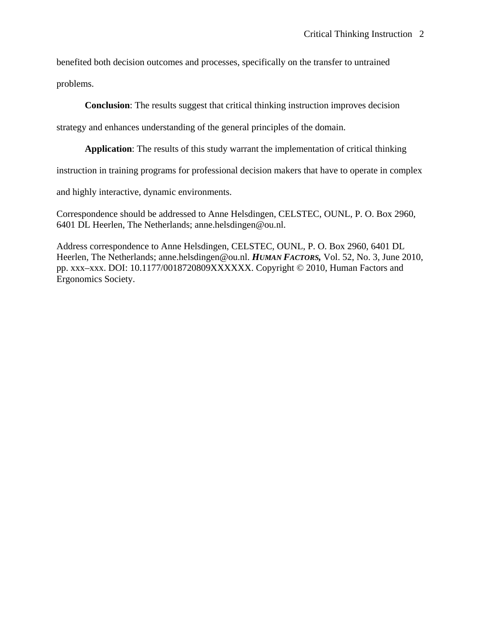benefited both decision outcomes and processes, specifically on the transfer to untrained

problems.

**Conclusion**: The results suggest that critical thinking instruction improves decision

strategy and enhances understanding of the general principles of the domain.

**Application**: The results of this study warrant the implementation of critical thinking

instruction in training programs for professional decision makers that have to operate in complex

and highly interactive, dynamic environments.

Correspondence should be addressed to Anne Helsdingen, CELSTEC, OUNL, P. O. Box 2960, 6401 DL Heerlen, The Netherlands; anne.helsdingen@ou.nl.

Address correspondence to Anne Helsdingen, CELSTEC, OUNL, P. O. Box 2960, 6401 DL Heerlen, The Netherlands; anne.helsdingen@ou.nl. *HUMAN FACTORS,* Vol. 52, No. 3, June 2010, pp. xxx–xxx. DOI: 10.1177/0018720809XXXXXX. Copyright © 2010, Human Factors and Ergonomics Society.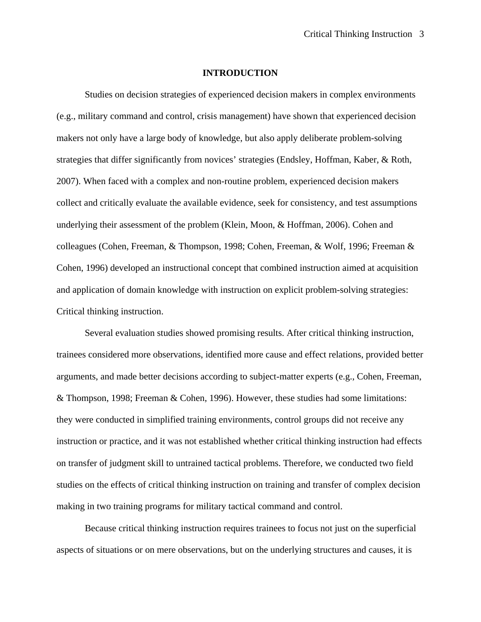#### **INTRODUCTION**

Studies on decision strategies of experienced decision makers in complex environments (e.g., military command and control, crisis management) have shown that experienced decision makers not only have a large body of knowledge, but also apply deliberate problem-solving strategies that differ significantly from novices' strategies (Endsley, Hoffman, Kaber, & Roth, 2007). When faced with a complex and non-routine problem, experienced decision makers collect and critically evaluate the available evidence, seek for consistency, and test assumptions underlying their assessment of the problem (Klein, Moon, & Hoffman, 2006). Cohen and colleagues (Cohen, Freeman, & Thompson, 1998; Cohen, Freeman, & Wolf, 1996; Freeman & Cohen, 1996) developed an instructional concept that combined instruction aimed at acquisition and application of domain knowledge with instruction on explicit problem-solving strategies: Critical thinking instruction.

Several evaluation studies showed promising results. After critical thinking instruction, trainees considered more observations, identified more cause and effect relations, provided better arguments, and made better decisions according to subject-matter experts (e.g., Cohen, Freeman, & Thompson, 1998; Freeman & Cohen, 1996). However, these studies had some limitations: they were conducted in simplified training environments, control groups did not receive any instruction or practice, and it was not established whether critical thinking instruction had effects on transfer of judgment skill to untrained tactical problems. Therefore, we conducted two field studies on the effects of critical thinking instruction on training and transfer of complex decision making in two training programs for military tactical command and control.

Because critical thinking instruction requires trainees to focus not just on the superficial aspects of situations or on mere observations, but on the underlying structures and causes, it is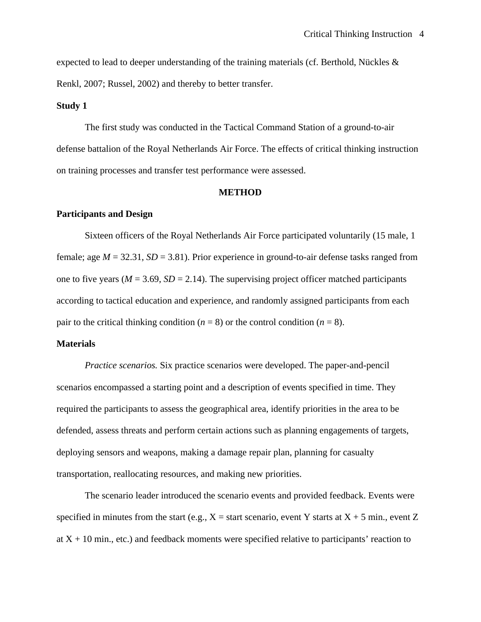expected to lead to deeper understanding of the training materials (cf. Berthold, Nückles & Renkl, 2007; Russel, 2002) and thereby to better transfer.

#### **Study 1**

The first study was conducted in the Tactical Command Station of a ground-to-air defense battalion of the Royal Netherlands Air Force. The effects of critical thinking instruction on training processes and transfer test performance were assessed.

#### **METHOD**

## **Participants and Design**

Sixteen officers of the Royal Netherlands Air Force participated voluntarily (15 male, 1 female; age  $M = 32.31$ ,  $SD = 3.81$ ). Prior experience in ground-to-air defense tasks ranged from one to five years ( $M = 3.69$ ,  $SD = 2.14$ ). The supervising project officer matched participants according to tactical education and experience, and randomly assigned participants from each pair to the critical thinking condition ( $n = 8$ ) or the control condition ( $n = 8$ ).

#### **Materials**

*Practice scenarios.* Six practice scenarios were developed. The paper-and-pencil scenarios encompassed a starting point and a description of events specified in time. They required the participants to assess the geographical area, identify priorities in the area to be defended, assess threats and perform certain actions such as planning engagements of targets, deploying sensors and weapons, making a damage repair plan, planning for casualty transportation, reallocating resources, and making new priorities.

The scenario leader introduced the scenario events and provided feedback. Events were specified in minutes from the start (e.g.,  $X =$  start scenario, event Y starts at  $X + 5$  min., event Z at  $X + 10$  min., etc.) and feedback moments were specified relative to participants' reaction to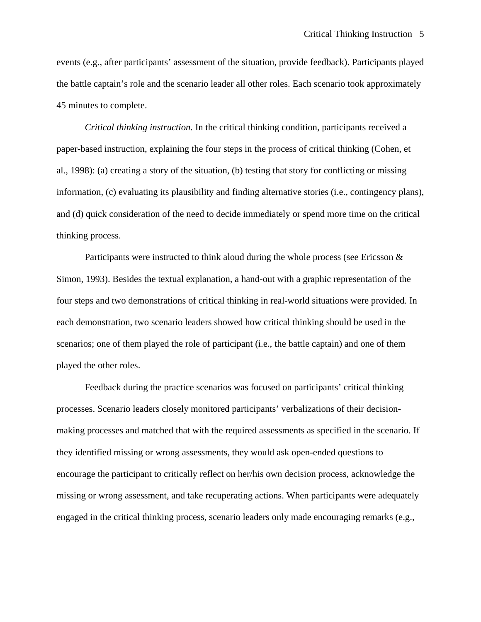events (e.g., after participants' assessment of the situation, provide feedback). Participants played the battle captain's role and the scenario leader all other roles. Each scenario took approximately 45 minutes to complete.

*Critical thinking instruction.* In the critical thinking condition, participants received a paper-based instruction, explaining the four steps in the process of critical thinking (Cohen, et al., 1998): (a) creating a story of the situation, (b) testing that story for conflicting or missing information, (c) evaluating its plausibility and finding alternative stories (i.e., contingency plans), and (d) quick consideration of the need to decide immediately or spend more time on the critical thinking process.

Participants were instructed to think aloud during the whole process (see Ericsson & Simon, 1993). Besides the textual explanation, a hand-out with a graphic representation of the four steps and two demonstrations of critical thinking in real-world situations were provided. In each demonstration, two scenario leaders showed how critical thinking should be used in the scenarios; one of them played the role of participant (i.e., the battle captain) and one of them played the other roles.

Feedback during the practice scenarios was focused on participants' critical thinking processes. Scenario leaders closely monitored participants' verbalizations of their decisionmaking processes and matched that with the required assessments as specified in the scenario. If they identified missing or wrong assessments, they would ask open-ended questions to encourage the participant to critically reflect on her/his own decision process, acknowledge the missing or wrong assessment, and take recuperating actions. When participants were adequately engaged in the critical thinking process, scenario leaders only made encouraging remarks (e.g.,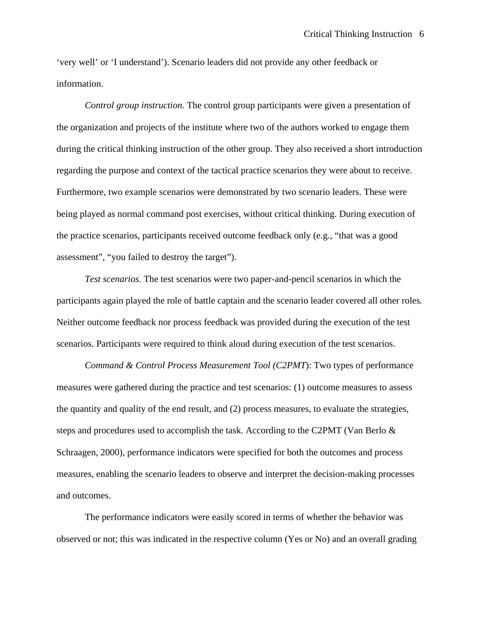'very well' or 'I understand'). Scenario leaders did not provide any other feedback or information.

*Control group instruction*. The control group participants were given a presentation of the organization and projects of the institute where two of the authors worked to engage them during the critical thinking instruction of the other group. They also received a short introduction regarding the purpose and context of the tactical practice scenarios they were about to receive. Furthermore, two example scenarios were demonstrated by two scenario leaders. These were being played as normal command post exercises, without critical thinking. During execution of the practice scenarios, participants received outcome feedback only (e.g., "that was a good assessment", "you failed to destroy the target").

*Test scenarios.* The test scenarios were two paper-and-pencil scenarios in which the participants again played the role of battle captain and the scenario leader covered all other roles*.* Neither outcome feedback nor process feedback was provided during the execution of the test scenarios. Participants were required to think aloud during execution of the test scenarios.

*Command & Control Process Measurement Tool (C2PMT*): Two types of performance measures were gathered during the practice and test scenarios: (1) outcome measures to assess the quantity and quality of the end result, and (2) process measures, to evaluate the strategies, steps and procedures used to accomplish the task. According to the C2PMT (Van Berlo & Schraagen, 2000), performance indicators were specified for both the outcomes and process measures, enabling the scenario leaders to observe and interpret the decision-making processes and outcomes.

The performance indicators were easily scored in terms of whether the behavior was observed or not; this was indicated in the respective column (Yes or No) and an overall grading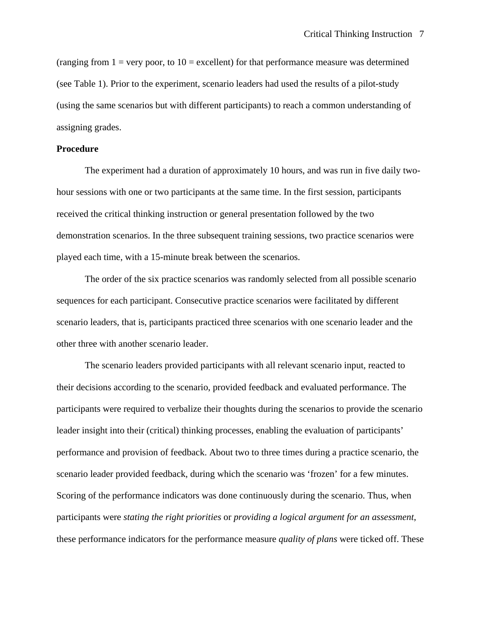(ranging from  $1 =$  very poor, to  $10 =$  excellent) for that performance measure was determined (see Table 1). Prior to the experiment, scenario leaders had used the results of a pilot-study (using the same scenarios but with different participants) to reach a common understanding of assigning grades.

## **Procedure**

The experiment had a duration of approximately 10 hours, and was run in five daily twohour sessions with one or two participants at the same time. In the first session, participants received the critical thinking instruction or general presentation followed by the two demonstration scenarios. In the three subsequent training sessions, two practice scenarios were played each time, with a 15-minute break between the scenarios.

The order of the six practice scenarios was randomly selected from all possible scenario sequences for each participant. Consecutive practice scenarios were facilitated by different scenario leaders, that is, participants practiced three scenarios with one scenario leader and the other three with another scenario leader.

The scenario leaders provided participants with all relevant scenario input, reacted to their decisions according to the scenario, provided feedback and evaluated performance. The participants were required to verbalize their thoughts during the scenarios to provide the scenario leader insight into their (critical) thinking processes, enabling the evaluation of participants' performance and provision of feedback. About two to three times during a practice scenario, the scenario leader provided feedback, during which the scenario was 'frozen' for a few minutes. Scoring of the performance indicators was done continuously during the scenario. Thus, when participants were *stating the right priorities* or *providing a logical argument for an assessment*, these performance indicators for the performance measure *quality of plans* were ticked off. These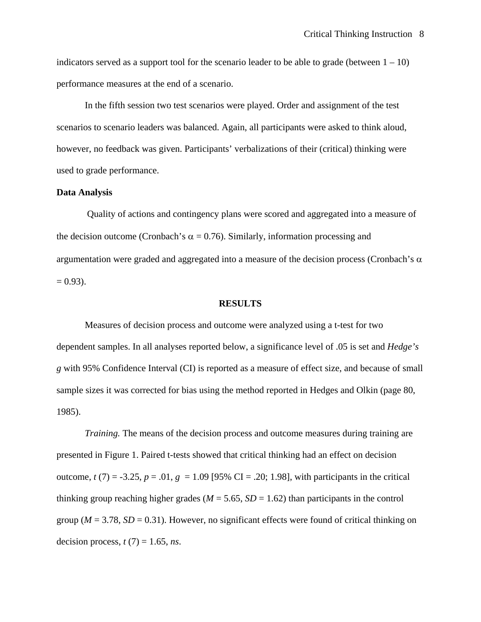indicators served as a support tool for the scenario leader to be able to grade (between  $1 - 10$ ) performance measures at the end of a scenario.

In the fifth session two test scenarios were played. Order and assignment of the test scenarios to scenario leaders was balanced. Again, all participants were asked to think aloud, however, no feedback was given. Participants' verbalizations of their (critical) thinking were used to grade performance.

#### **Data Analysis**

 Quality of actions and contingency plans were scored and aggregated into a measure of the decision outcome (Cronbach's  $\alpha = 0.76$ ). Similarly, information processing and argumentation were graded and aggregated into a measure of the decision process (Cronbach's  $\alpha$ )  $= 0.93$ ).

#### **RESULTS**

Measures of decision process and outcome were analyzed using a t-test for two dependent samples. In all analyses reported below, a significance level of .05 is set and *Hedge's g* with 95% Confidence Interval (CI) is reported as a measure of effect size, and because of small sample sizes it was corrected for bias using the method reported in Hedges and Olkin (page 80, 1985).

*Training.* The means of the decision process and outcome measures during training are presented in Figure 1. Paired t-tests showed that critical thinking had an effect on decision outcome,  $t(7) = -3.25$ ,  $p = .01$ ,  $g = 1.09$  [95% CI = .20; 1.98], with participants in the critical thinking group reaching higher grades ( $M = 5.65$ ,  $SD = 1.62$ ) than participants in the control group ( $M = 3.78$ ,  $SD = 0.31$ ). However, no significant effects were found of critical thinking on decision process,  $t(7) = 1.65$ , *ns*.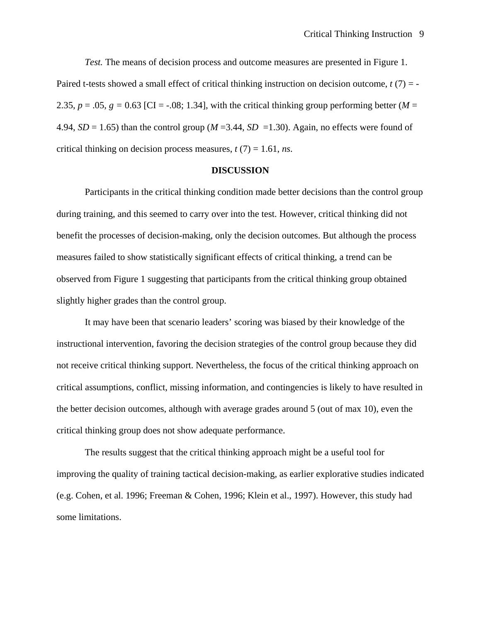*Test.* The means of decision process and outcome measures are presented in Figure 1. Paired t-tests showed a small effect of critical thinking instruction on decision outcome, *t* (7) = - 2.35,  $p = .05$ ,  $g = 0.63$  [CI =  $-.08$ ; 1.34], with the critical thinking group performing better (*M* = 4.94,  $SD = 1.65$ ) than the control group ( $M = 3.44$ ,  $SD = 1.30$ ). Again, no effects were found of critical thinking on decision process measures,  $t(7) = 1.61$ , *ns*.

#### **DISCUSSION**

Participants in the critical thinking condition made better decisions than the control group during training, and this seemed to carry over into the test. However, critical thinking did not benefit the processes of decision-making, only the decision outcomes. But although the process measures failed to show statistically significant effects of critical thinking, a trend can be observed from Figure 1 suggesting that participants from the critical thinking group obtained slightly higher grades than the control group.

It may have been that scenario leaders' scoring was biased by their knowledge of the instructional intervention, favoring the decision strategies of the control group because they did not receive critical thinking support. Nevertheless, the focus of the critical thinking approach on critical assumptions, conflict, missing information, and contingencies is likely to have resulted in the better decision outcomes, although with average grades around 5 (out of max 10), even the critical thinking group does not show adequate performance.

The results suggest that the critical thinking approach might be a useful tool for improving the quality of training tactical decision-making, as earlier explorative studies indicated (e.g. Cohen, et al. 1996; Freeman & Cohen, 1996; Klein et al., 1997). However, this study had some limitations.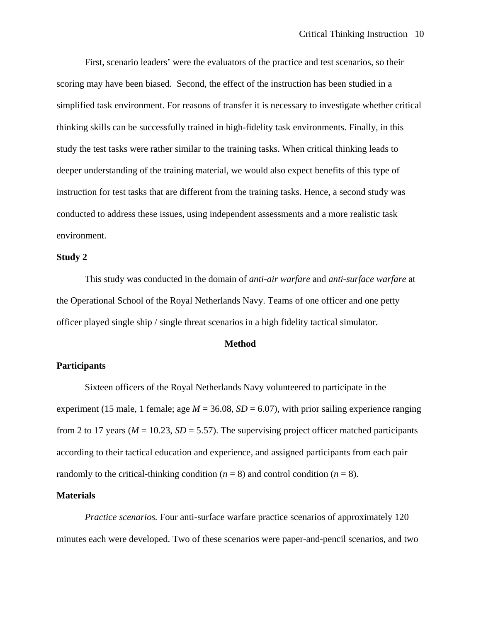First, scenario leaders' were the evaluators of the practice and test scenarios, so their scoring may have been biased. Second, the effect of the instruction has been studied in a simplified task environment. For reasons of transfer it is necessary to investigate whether critical thinking skills can be successfully trained in high-fidelity task environments. Finally, in this study the test tasks were rather similar to the training tasks. When critical thinking leads to deeper understanding of the training material, we would also expect benefits of this type of instruction for test tasks that are different from the training tasks. Hence, a second study was conducted to address these issues, using independent assessments and a more realistic task environment.

## **Study 2**

This study was conducted in the domain of *anti-air warfare* and *anti-surface warfare* at the Operational School of the Royal Netherlands Navy. Teams of one officer and one petty officer played single ship / single threat scenarios in a high fidelity tactical simulator.

#### **Method**

#### **Participants**

Sixteen officers of the Royal Netherlands Navy volunteered to participate in the experiment (15 male, 1 female; age  $M = 36.08$ ,  $SD = 6.07$ ), with prior sailing experience ranging from 2 to 17 years ( $M = 10.23$ ,  $SD = 5.57$ ). The supervising project officer matched participants according to their tactical education and experience, and assigned participants from each pair randomly to the critical-thinking condition  $(n = 8)$  and control condition  $(n = 8)$ .

#### **Materials**

*Practice scenarios.* Four anti-surface warfare practice scenarios of approximately 120 minutes each were developed. Two of these scenarios were paper-and-pencil scenarios, and two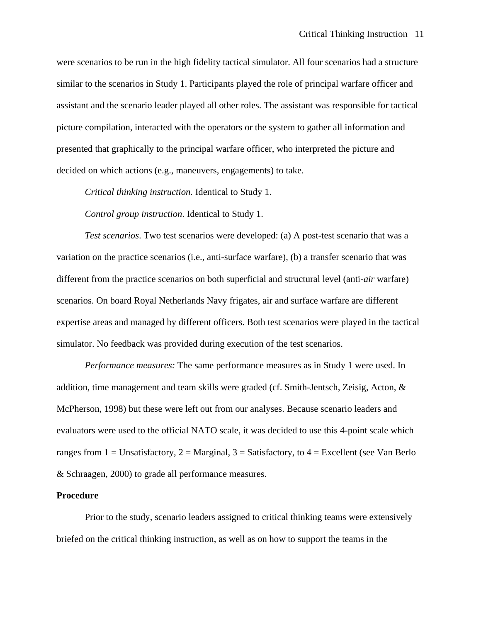were scenarios to be run in the high fidelity tactical simulator. All four scenarios had a structure similar to the scenarios in Study 1. Participants played the role of principal warfare officer and assistant and the scenario leader played all other roles. The assistant was responsible for tactical picture compilation, interacted with the operators or the system to gather all information and presented that graphically to the principal warfare officer, who interpreted the picture and decided on which actions (e.g., maneuvers, engagements) to take.

*Critical thinking instruction.* Identical to Study 1.

*Control group instruction*. Identical to Study 1.

*Test scenarios*. Two test scenarios were developed: (a) A post-test scenario that was a variation on the practice scenarios (i.e., anti-surface warfare), (b) a transfer scenario that was different from the practice scenarios on both superficial and structural level (anti-*air* warfare) scenarios. On board Royal Netherlands Navy frigates, air and surface warfare are different expertise areas and managed by different officers. Both test scenarios were played in the tactical simulator. No feedback was provided during execution of the test scenarios.

*Performance measures:* The same performance measures as in Study 1 were used. In addition, time management and team skills were graded (cf. Smith-Jentsch, Zeisig, Acton, & McPherson, 1998) but these were left out from our analyses. Because scenario leaders and evaluators were used to the official NATO scale, it was decided to use this 4-point scale which ranges from 1 = Unsatisfactory, 2 = Marginal, 3 = Satisfactory, to  $4$  = Excellent (see Van Berlo & Schraagen, 2000) to grade all performance measures.

#### **Procedure**

Prior to the study, scenario leaders assigned to critical thinking teams were extensively briefed on the critical thinking instruction, as well as on how to support the teams in the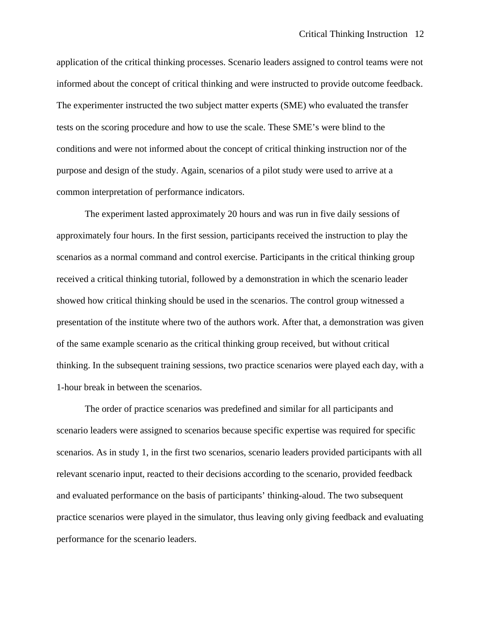application of the critical thinking processes. Scenario leaders assigned to control teams were not informed about the concept of critical thinking and were instructed to provide outcome feedback. The experimenter instructed the two subject matter experts (SME) who evaluated the transfer tests on the scoring procedure and how to use the scale. These SME's were blind to the conditions and were not informed about the concept of critical thinking instruction nor of the purpose and design of the study. Again, scenarios of a pilot study were used to arrive at a common interpretation of performance indicators.

The experiment lasted approximately 20 hours and was run in five daily sessions of approximately four hours. In the first session, participants received the instruction to play the scenarios as a normal command and control exercise. Participants in the critical thinking group received a critical thinking tutorial, followed by a demonstration in which the scenario leader showed how critical thinking should be used in the scenarios. The control group witnessed a presentation of the institute where two of the authors work. After that, a demonstration was given of the same example scenario as the critical thinking group received, but without critical thinking. In the subsequent training sessions, two practice scenarios were played each day, with a 1-hour break in between the scenarios.

The order of practice scenarios was predefined and similar for all participants and scenario leaders were assigned to scenarios because specific expertise was required for specific scenarios. As in study 1, in the first two scenarios, scenario leaders provided participants with all relevant scenario input, reacted to their decisions according to the scenario, provided feedback and evaluated performance on the basis of participants' thinking-aloud. The two subsequent practice scenarios were played in the simulator, thus leaving only giving feedback and evaluating performance for the scenario leaders.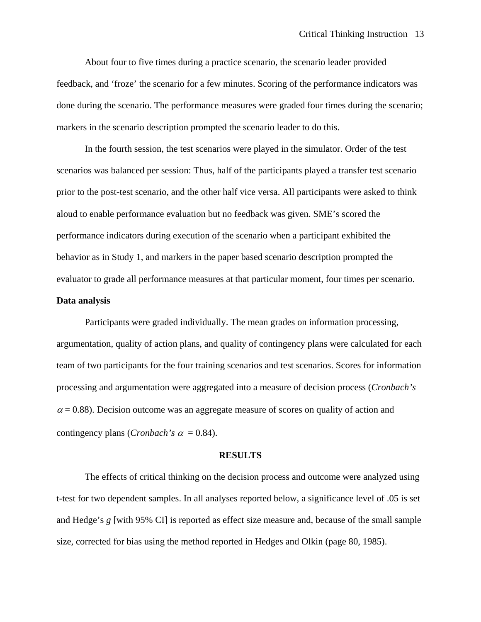About four to five times during a practice scenario, the scenario leader provided feedback, and 'froze' the scenario for a few minutes. Scoring of the performance indicators was done during the scenario. The performance measures were graded four times during the scenario; markers in the scenario description prompted the scenario leader to do this.

In the fourth session, the test scenarios were played in the simulator. Order of the test scenarios was balanced per session: Thus, half of the participants played a transfer test scenario prior to the post-test scenario, and the other half vice versa. All participants were asked to think aloud to enable performance evaluation but no feedback was given. SME's scored the performance indicators during execution of the scenario when a participant exhibited the behavior as in Study 1, and markers in the paper based scenario description prompted the evaluator to grade all performance measures at that particular moment, four times per scenario.

#### **Data analysis**

Participants were graded individually. The mean grades on information processing, argumentation, quality of action plans, and quality of contingency plans were calculated for each team of two participants for the four training scenarios and test scenarios. Scores for information processing and argumentation were aggregated into a measure of decision process (*Cronbach's*   $\alpha$  = 0.88). Decision outcome was an aggregate measure of scores on quality of action and contingency plans (*Cronbach's*  $\alpha$  *=* 0.84).

#### **RESULTS**

The effects of critical thinking on the decision process and outcome were analyzed using t-test for two dependent samples. In all analyses reported below, a significance level of .05 is set and Hedge's *g* [with 95% CI] is reported as effect size measure and, because of the small sample size, corrected for bias using the method reported in Hedges and Olkin (page 80, 1985).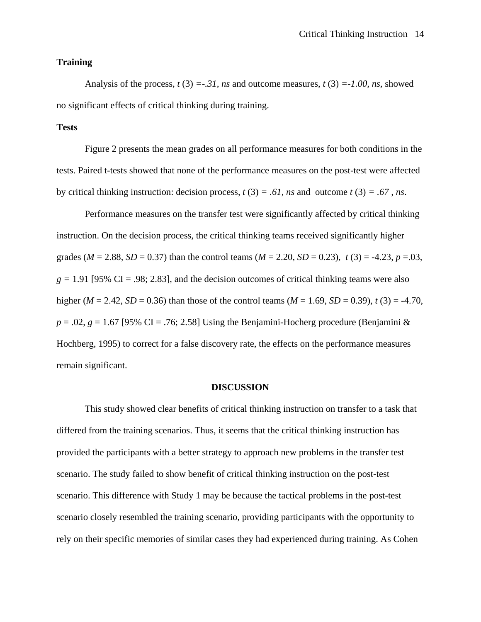#### **Training**

Analysis of the process,  $t(3) = -31$ , ns and outcome measures,  $t(3) = -1.00$ , ns, showed no significant effects of critical thinking during training.

## **Tests**

Figure 2 presents the mean grades on all performance measures for both conditions in the tests. Paired t-tests showed that none of the performance measures on the post-test were affected by critical thinking instruction: decision process,  $t(3) = .61$ , *ns* and outcome  $t(3) = .67$ , *ns*.

Performance measures on the transfer test were significantly affected by critical thinking instruction. On the decision process, the critical thinking teams received significantly higher grades ( $M = 2.88$ ,  $SD = 0.37$ ) than the control teams ( $M = 2.20$ ,  $SD = 0.23$ ),  $t(3) = -4.23$ ,  $p = 0.03$ ,  $g = 1.91$  [95% CI = .98; 2.83], and the decision outcomes of critical thinking teams were also higher ( $M = 2.42$ ,  $SD = 0.36$ ) than those of the control teams ( $M = 1.69$ ,  $SD = 0.39$ ),  $t(3) = -4.70$ ,  $p = .02$ ,  $g = 1.67$  [95% CI = .76; 2.58] Using the Benjamini-Hocherg procedure (Benjamini & Hochberg, 1995) to correct for a false discovery rate, the effects on the performance measures remain significant.

#### **DISCUSSION**

This study showed clear benefits of critical thinking instruction on transfer to a task that differed from the training scenarios. Thus, it seems that the critical thinking instruction has provided the participants with a better strategy to approach new problems in the transfer test scenario. The study failed to show benefit of critical thinking instruction on the post-test scenario. This difference with Study 1 may be because the tactical problems in the post-test scenario closely resembled the training scenario, providing participants with the opportunity to rely on their specific memories of similar cases they had experienced during training. As Cohen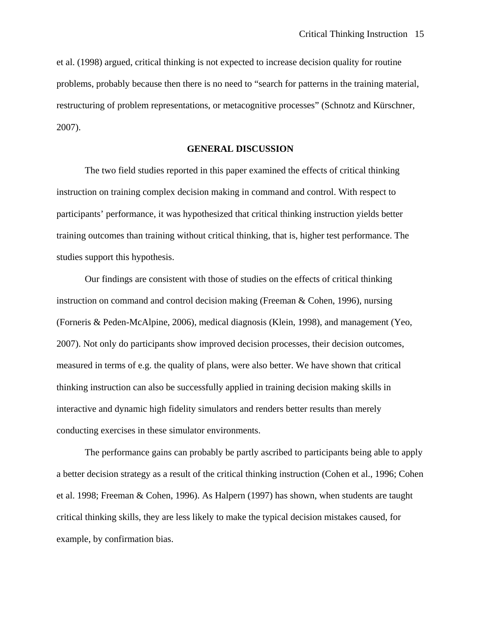et al. (1998) argued, critical thinking is not expected to increase decision quality for routine problems, probably because then there is no need to "search for patterns in the training material, restructuring of problem representations, or metacognitive processes" (Schnotz and Kürschner, 2007).

#### **GENERAL DISCUSSION**

The two field studies reported in this paper examined the effects of critical thinking instruction on training complex decision making in command and control. With respect to participants' performance, it was hypothesized that critical thinking instruction yields better training outcomes than training without critical thinking, that is, higher test performance. The studies support this hypothesis.

Our findings are consistent with those of studies on the effects of critical thinking instruction on command and control decision making (Freeman & Cohen, 1996), nursing (Forneris & Peden-McAlpine, 2006), medical diagnosis (Klein, 1998), and management (Yeo, 2007). Not only do participants show improved decision processes, their decision outcomes, measured in terms of e.g. the quality of plans, were also better. We have shown that critical thinking instruction can also be successfully applied in training decision making skills in interactive and dynamic high fidelity simulators and renders better results than merely conducting exercises in these simulator environments.

The performance gains can probably be partly ascribed to participants being able to apply a better decision strategy as a result of the critical thinking instruction (Cohen et al., 1996; Cohen et al. 1998; Freeman & Cohen, 1996). As Halpern (1997) has shown, when students are taught critical thinking skills, they are less likely to make the typical decision mistakes caused, for example, by confirmation bias.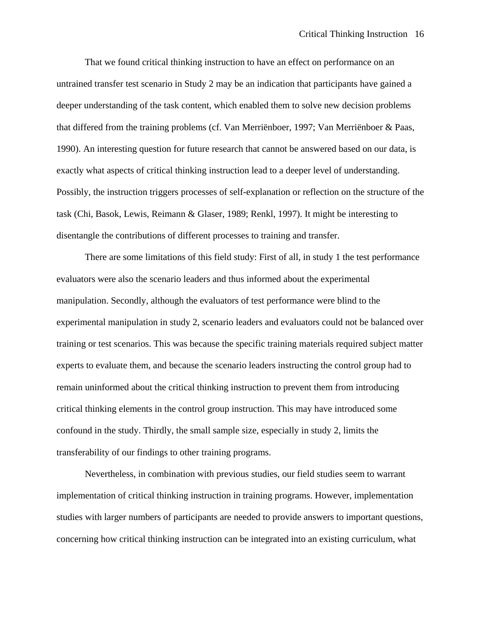That we found critical thinking instruction to have an effect on performance on an untrained transfer test scenario in Study 2 may be an indication that participants have gained a deeper understanding of the task content, which enabled them to solve new decision problems that differed from the training problems (cf. Van Merriënboer, 1997; Van Merriënboer & Paas, 1990). An interesting question for future research that cannot be answered based on our data, is exactly what aspects of critical thinking instruction lead to a deeper level of understanding. Possibly, the instruction triggers processes of self-explanation or reflection on the structure of the task (Chi, Basok, Lewis, Reimann & Glaser, 1989; Renkl, 1997). It might be interesting to disentangle the contributions of different processes to training and transfer.

There are some limitations of this field study: First of all, in study 1 the test performance evaluators were also the scenario leaders and thus informed about the experimental manipulation. Secondly, although the evaluators of test performance were blind to the experimental manipulation in study 2, scenario leaders and evaluators could not be balanced over training or test scenarios. This was because the specific training materials required subject matter experts to evaluate them, and because the scenario leaders instructing the control group had to remain uninformed about the critical thinking instruction to prevent them from introducing critical thinking elements in the control group instruction. This may have introduced some confound in the study. Thirdly, the small sample size, especially in study 2, limits the transferability of our findings to other training programs.

Nevertheless, in combination with previous studies, our field studies seem to warrant implementation of critical thinking instruction in training programs. However, implementation studies with larger numbers of participants are needed to provide answers to important questions, concerning how critical thinking instruction can be integrated into an existing curriculum, what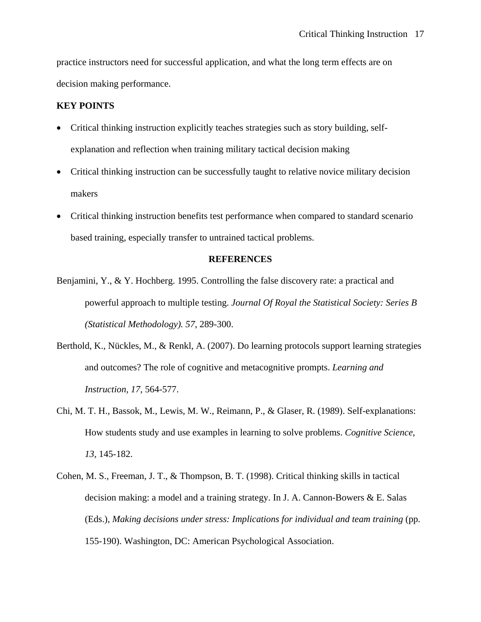practice instructors need for successful application, and what the long term effects are on decision making performance.

#### **KEY POINTS**

- Critical thinking instruction explicitly teaches strategies such as story building, selfexplanation and reflection when training military tactical decision making
- Critical thinking instruction can be successfully taught to relative novice military decision makers
- Critical thinking instruction benefits test performance when compared to standard scenario based training, especially transfer to untrained tactical problems.

## **REFERENCES**

- Benjamini, Y., & Y. Hochberg. 1995. Controlling the false discovery rate: a practical and powerful approach to multiple testing. *Journal Of Royal the Statistical Society: Series B (Statistical Methodology). 57*, 289-300.
- Berthold, K., Nückles, M., & Renkl, A. (2007). Do learning protocols support learning strategies and outcomes? The role of cognitive and metacognitive prompts. *Learning and Instruction, 17*, 564-577.
- Chi, M. T. H., Bassok, M., Lewis, M. W., Reimann, P., & Glaser, R. (1989). Self-explanations: How students study and use examples in learning to solve problems. *Cognitive Science*, *13,* 145-182.
- Cohen, M. S., Freeman, J. T., & Thompson, B. T. (1998). Critical thinking skills in tactical decision making: a model and a training strategy. In J. A. Cannon-Bowers & E. Salas (Eds.), *Making decisions under stress: Implications for individual and team training* (pp. 155-190). Washington, DC: American Psychological Association.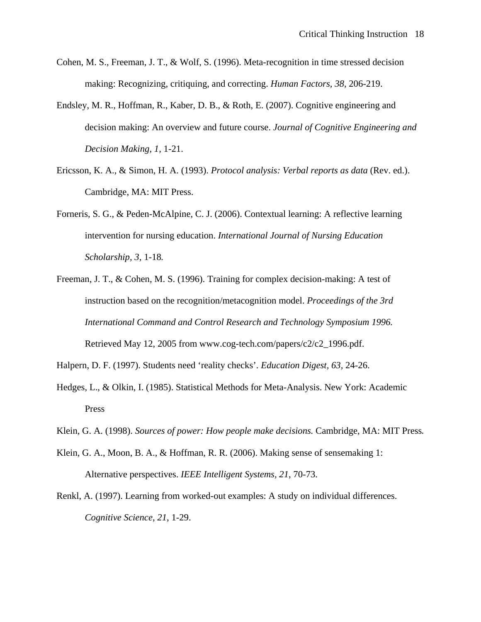- Cohen, M. S., Freeman, J. T., & Wolf, S. (1996). Meta-recognition in time stressed decision making: Recognizing, critiquing, and correcting. *Human Factors, 38*, 206-219.
- Endsley, M. R., Hoffman, R., Kaber, D. B., & Roth, E. (2007). Cognitive engineering and decision making: An overview and future course. *Journal of Cognitive Engineering and Decision Making, 1,* 1-21.
- Ericsson, K. A., & Simon, H. A. (1993). *Protocol analysis: Verbal reports as data* (Rev. ed.). Cambridge, MA: MIT Press.
- Forneris, S. G., & Peden-McAlpine, C. J. (2006). Contextual learning: A reflective learning intervention for nursing education. *International Journal of Nursing Education Scholarship, 3,* 1-18*.*
- Freeman, J. T., & Cohen, M. S. (1996). Training for complex decision-making: A test of instruction based on the recognition/metacognition model. *Proceedings of the 3rd International Command and Control Research and Technology Symposium 1996.* Retrieved May 12, 2005 from www.cog-tech.com/papers/c2/c2\_1996.pdf.
- Halpern, D. F. (1997). Students need 'reality checks'. *Education Digest, 63,* 24-26.
- Hedges, L., & Olkin, I. (1985). Statistical Methods for Meta-Analysis. New York: Academic Press
- Klein, G. A. (1998). *Sources of power: How people make decisions.* Cambridge, MA: MIT Press.
- Klein, G. A., Moon, B. A., & Hoffman, R. R. (2006). Making sense of sensemaking 1: Alternative perspectives. *IEEE Intelligent Systems, 21*, 70-73.
- Renkl, A. (1997). Learning from worked-out examples: A study on individual differences. *Cognitive Science*, *21*, 1-29.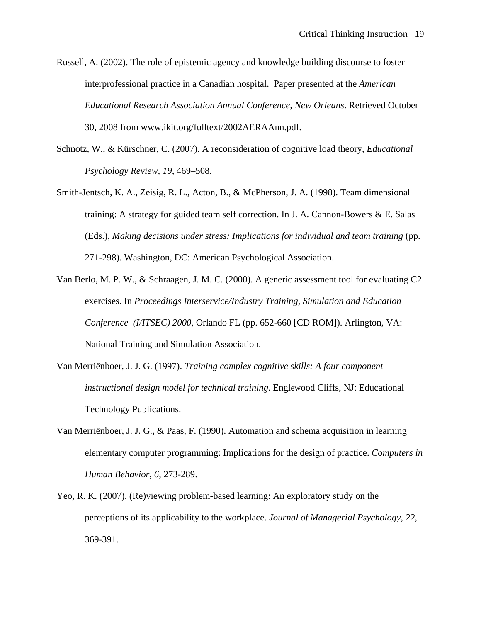Russell, A. (2002). The role of epistemic agency and knowledge building discourse to foster interprofessional practice in a Canadian hospital. Paper presented at the *American Educational Research Association Annual Conference, New Orleans*. Retrieved October 30, 2008 from www.ikit.org/fulltext/2002AERAAnn.pdf.

- Schnotz, W., & Kürschner, C. (2007). A reconsideration of cognitive load theory, *Educational Psychology Review, 19*, 469–508.
- Smith-Jentsch, K. A., Zeisig, R. L., Acton, B., & McPherson, J. A. (1998). Team dimensional training: A strategy for guided team self correction. In J. A. Cannon-Bowers  $\&E$ . Salas (Eds.), *Making decisions under stress: Implications for individual and team training* (pp. 271-298). Washington, DC: American Psychological Association.
- Van Berlo, M. P. W., & Schraagen, J. M. C. (2000). A generic assessment tool for evaluating C2 exercises. In *Proceedings Interservice/Industry Training, Simulation and Education Conference (I/ITSEC) 2000*, Orlando FL (pp. 652-660 [CD ROM]). Arlington, VA: National Training and Simulation Association.
- Van Merriënboer, J. J. G. (1997). *Training complex cognitive skills: A four component instructional design model for technical training*. Englewood Cliffs, NJ: Educational Technology Publications.
- Van Merriënboer, J. J. G., & Paas, F. (1990). Automation and schema acquisition in learning elementary computer programming: Implications for the design of practice. *Computers in Human Behavior, 6*, 273-289.
- Yeo, R. K. (2007). (Re)viewing problem-based learning: An exploratory study on the perceptions of its applicability to the workplace. *Journal of Managerial Psychology, 22,*  369-391.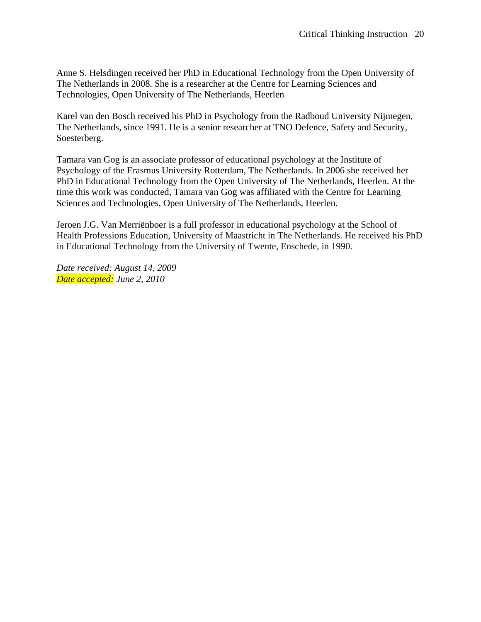Anne S. Helsdingen received her PhD in Educational Technology from the Open University of The Netherlands in 2008. She is a researcher at the Centre for Learning Sciences and Technologies, Open University of The Netherlands, Heerlen

Karel van den Bosch received his PhD in Psychology from the Radboud University Nijmegen, The Netherlands, since 1991. He is a senior researcher at TNO Defence, Safety and Security, Soesterberg.

Tamara van Gog is an associate professor of educational psychology at the Institute of Psychology of the Erasmus University Rotterdam, The Netherlands. In 2006 she received her PhD in Educational Technology from the Open University of The Netherlands, Heerlen. At the time this work was conducted, Tamara van Gog was affiliated with the Centre for Learning Sciences and Technologies, Open University of The Netherlands, Heerlen.

Jeroen J.G. Van Merriënboer is a full professor in educational psychology at the School of Health Professions Education, University of Maastricht in The Netherlands. He received his PhD in Educational Technology from the University of Twente, Enschede, in 1990.

*Date received: August 14, 2009 Date accepted: June 2, 2010*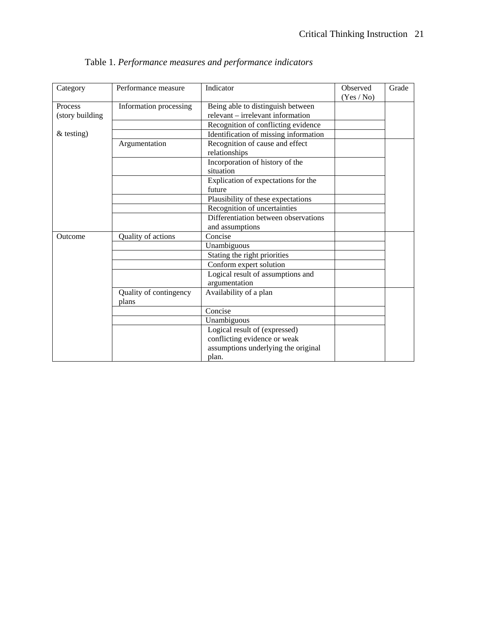| Category        | Performance measure    | Indicator                             | Observed<br>(Yes / No) | Grade |
|-----------------|------------------------|---------------------------------------|------------------------|-------|
| Process         | Information processing | Being able to distinguish between     |                        |       |
| (story building |                        | relevant – irrelevant information     |                        |       |
|                 |                        | Recognition of conflicting evidence   |                        |       |
| $&$ testing)    |                        | Identification of missing information |                        |       |
|                 | Argumentation          | Recognition of cause and effect       |                        |       |
|                 |                        | relationships                         |                        |       |
|                 |                        | Incorporation of history of the       |                        |       |
|                 |                        | situation                             |                        |       |
|                 |                        | Explication of expectations for the   |                        |       |
|                 |                        | future                                |                        |       |
|                 |                        | Plausibility of these expectations    |                        |       |
|                 |                        | Recognition of uncertainties          |                        |       |
|                 |                        | Differentiation between observations  |                        |       |
|                 |                        | and assumptions                       |                        |       |
| Outcome         | Quality of actions     | Concise                               |                        |       |
|                 |                        | Unambiguous                           |                        |       |
|                 |                        | Stating the right priorities          |                        |       |
|                 |                        | Conform expert solution               |                        |       |
|                 |                        | Logical result of assumptions and     |                        |       |
|                 |                        | argumentation                         |                        |       |
|                 | Quality of contingency | Availability of a plan                |                        |       |
|                 | plans                  |                                       |                        |       |
|                 |                        | Concise                               |                        |       |
|                 |                        | Unambiguous                           |                        |       |
|                 |                        | Logical result of (expressed)         |                        |       |
|                 |                        | conflicting evidence or weak          |                        |       |
|                 |                        | assumptions underlying the original   |                        |       |
|                 |                        | plan.                                 |                        |       |

Table 1. *Performance measures and performance indicators*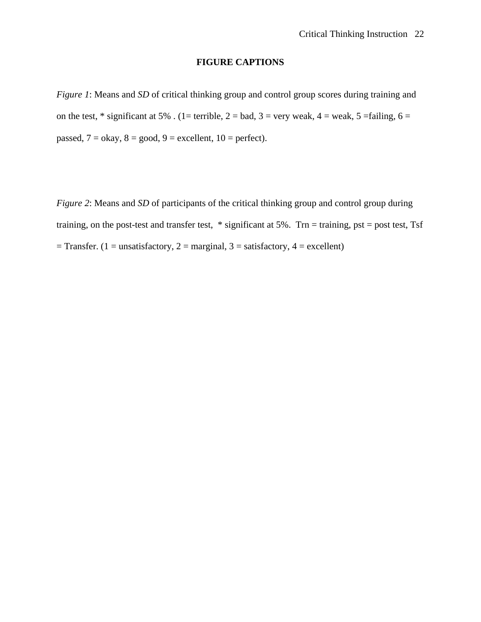# **FIGURE CAPTIONS**

*Figure 1*: Means and *SD* of critical thinking group and control group scores during training and on the test,  $*$  significant at 5%. (1= terrible, 2 = bad, 3 = very weak, 4 = weak, 5 = failing, 6 = passed,  $7 =$  okay,  $8 =$  good,  $9 =$  excellent,  $10 =$  perfect).

*Figure 2*: Means and *SD* of participants of the critical thinking group and control group during training, on the post-test and transfer test, \* significant at 5%. Trn = training, pst = post test, Tsf  $=$  Transfer. (1 = unsatisfactory, 2 = marginal, 3 = satisfactory, 4 = excellent)